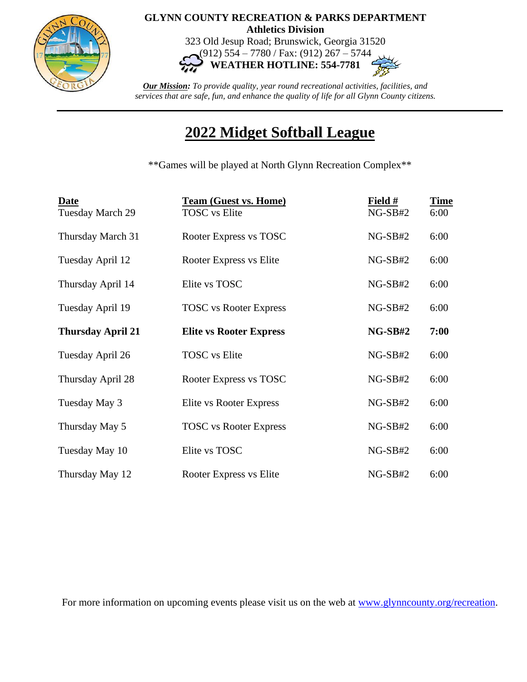

## **GLYNN COUNTY RECREATION & PARKS DEPARTMENT Athletics Division**

323 Old Jesup Road; Brunswick, Georgia 31520 (912) 554 – 7780 / Fax: (912) 267 – 5744

**WEATHER HOTLINE: 554-7781**

*Our Mission: To provide quality, year round recreational activities, facilities, and services that are safe, fun, and enhance the quality of life for all Glynn County citizens.*

## **2022 Midget Softball League**

\*\*Games will be played at North Glynn Recreation Complex\*\*

| <b>Date</b><br>Tuesday March 29 | <b>Team (Guest vs. Home)</b><br><b>TOSC</b> vs Elite | Field #<br>$NG-SB#2$ | <b>Time</b><br>6:00 |
|---------------------------------|------------------------------------------------------|----------------------|---------------------|
| Thursday March 31               | Rooter Express vs TOSC                               | $NG-SB#2$            | 6:00                |
| Tuesday April 12                | Rooter Express vs Elite                              | $NG-SB#2$            | 6:00                |
| Thursday April 14               | Elite vs TOSC                                        | $NG-SB#2$            | 6:00                |
| Tuesday April 19                | <b>TOSC</b> vs Rooter Express                        | $NG-SB#2$            | 6:00                |
| <b>Thursday April 21</b>        | <b>Elite vs Rooter Express</b>                       | $NG-SB#2$            | 7:00                |
| Tuesday April 26                | <b>TOSC</b> vs Elite                                 | $NG-SB#2$            | 6:00                |
| Thursday April 28               | Rooter Express vs TOSC                               | $NG-SB#2$            | 6:00                |
| Tuesday May 3                   | Elite vs Rooter Express                              | $NG-SB#2$            | 6:00                |
| Thursday May 5                  | <b>TOSC</b> vs Rooter Express                        | $NG-SB#2$            | 6:00                |
| Tuesday May 10                  | Elite vs TOSC                                        | $NG-SB#2$            | 6:00                |
| Thursday May 12                 | Rooter Express vs Elite                              | $NG-SB#2$            | 6:00                |

For more information on upcoming events please visit us on the web at [www.glynncounty.org/recreation.](http://www.glynncounty.org/recreation)